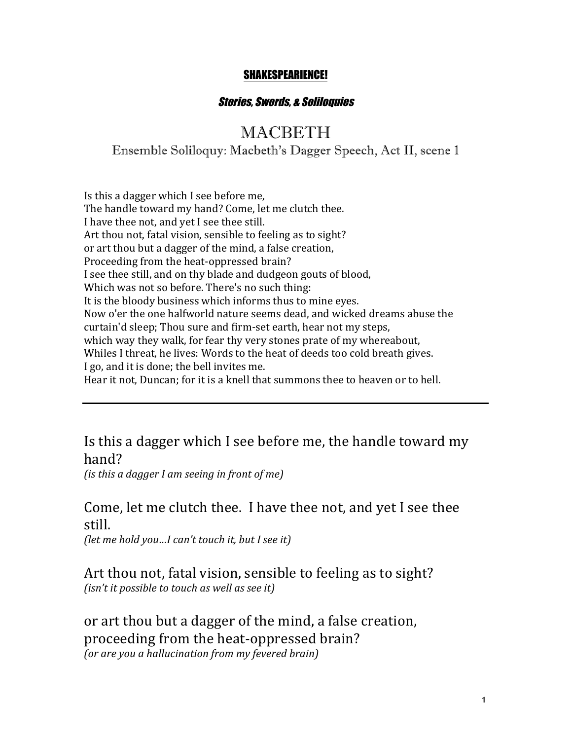#### SHAKESPEARIENCE!

#### Stories, Swords, & Soliloquies

## **MACRETH**

Ensemble Soliloquy: Macbeth's Dagger Speech, Act II, scene 1

Is this a dagger which I see before me, The handle toward my hand? Come, let me clutch thee. I have thee not, and yet I see thee still. Art thou not, fatal vision, sensible to feeling as to sight? or art thou but a dagger of the mind, a false creation, Proceeding from the heat-oppressed brain? I see thee still, and on thy blade and dudgeon gouts of blood, Which was not so before. There's no such thing: It is the bloody business which informs thus to mine eyes. Now o'er the one halfworld nature seems dead, and wicked dreams abuse the curtain'd sleep; Thou sure and firm-set earth, hear not my steps, which way they walk, for fear thy very stones prate of my whereabout, Whiles I threat, he lives: Words to the heat of deeds too cold breath gives. I go, and it is done; the bell invites me. Hear it not, Duncan; for it is a knell that summons thee to heaven or to hell.

# Is this a dagger which I see before me, the handle toward my hand?

*(is this a dagger I am seeing in front of me)* 

### Come, let me clutch thee. I have thee not, and yet I see thee still.

*(let me hold you...I can't touch it, but I see it)* 

Art thou not, fatal vision, sensible to feeling as to sight? *(isn't it possible to touch as well as see it)* 

or art thou but a dagger of the mind, a false creation, proceeding from the heat-oppressed brain? *(or are you a hallucination from my fevered brain)*